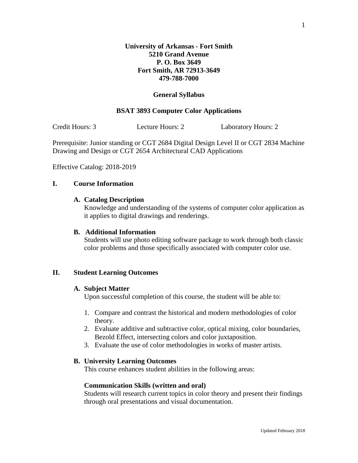## **General Syllabus**

# **BSAT 3893 Computer Color Applications**

Credit Hours: 3 Lecture Hours: 2 Laboratory Hours: 2

Prerequisite: Junior standing or CGT 2684 Digital Design Level II or CGT 2834 Machine Drawing and Design or CGT 2654 Architectural CAD Applications

Effective Catalog: 2018-2019

# **I. Course Information**

## **A. Catalog Description**

Knowledge and understanding of the systems of computer color application as it applies to digital drawings and renderings.

#### **B. Additional Information**

Students will use photo editing software package to work through both classic color problems and those specifically associated with computer color use.

#### **II. Student Learning Outcomes**

# **A. Subject Matter**

Upon successful completion of this course, the student will be able to:

- 1. Compare and contrast the historical and modern methodologies of color theory.
- 2. Evaluate additive and subtractive color, optical mixing, color boundaries, Bezold Effect, intersecting colors and color juxtaposition.
- 3. Evaluate the use of color methodologies in works of master artists.

## **B. University Learning Outcomes**

This course enhances student abilities in the following areas:

#### **Communication Skills (written and oral)**

Students will research current topics in color theory and present their findings through oral presentations and visual documentation.